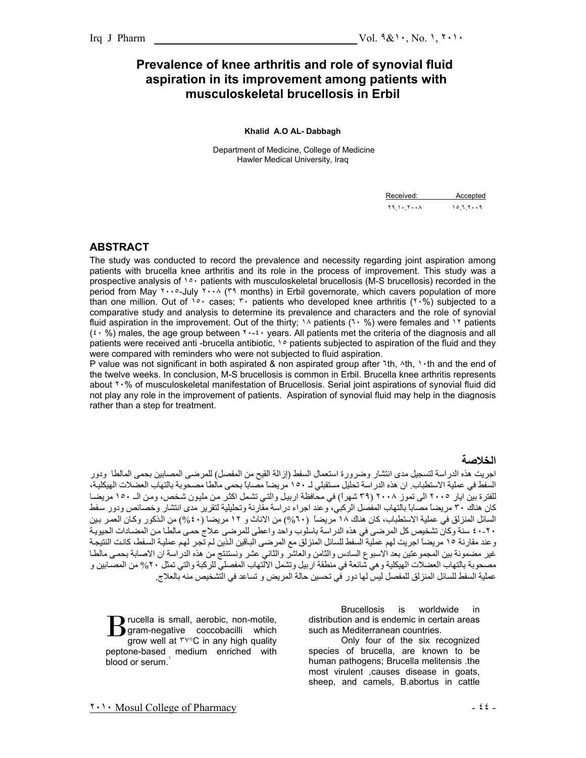## **Prevalence of knee arthritis and role of synovial fluid aspiration in its improvement among patients with musculoskeletal brucellosis in Erbil**

#### **Khalid A.O AL- Dabbagh**

Department of Medicine, College of Medicine Hawler Medical University, Iraq

| Received: | Accepted |
|-----------|----------|
|           |          |

## **ABSTRACT**

The study was conducted to record the prevalence and necessity regarding joint aspiration among patients with brucella knee arthritis and its role in the process of improvement. This study was a prospective analysis of  $10^{\circ}$  patients with musculoskeletal brucellosis (M-S brucellosis) recorded in the period from May ٢٠٠٥-July ٢٠٠٨ (٣٩ months) in Erbil governorate, which cavers population of more than one million. Out of <sup>10</sup> cases; <sup>\*</sup> patients who developed knee arthritis ( $1.8$ ) subjected to a comparative study and analysis to determine its prevalence and characters and the role of synovial fluid aspiration in the improvement. Out of the thirty;  $1\land$  patients ( $1\cdot\%$ ) were females and  $1\land$  patients (٤٠ %) males, the age group between ٢٠-٤٠ years. All patients met the criteria of the diagnosis and all patients were received anti -brucella antibiotic,  $\cdot \circ$  patients subjected to aspiration of the fluid and they were compared with reminders who were not subjected to fluid aspiration.

P value was not significant in both aspirated & non aspirated group after ٦th, ٨th, ١٠th and the end of the twelve weeks. In conclusion, M-S brucellosis is common in Erbil. Brucella knee arthritis represents about ٢٠% of musculoskeletal manifestation of Brucellosis. Serial joint aspirations of synovial fluid did not play any role in the improvement of patients. Aspiration of synovial fluid may help in the diagnosis rather than a step for treatment.

### **الخلاصة**

اجريت هذه الدراسة لتسجيل مدى انتشار وضرورة استعمال السفط (إزالة القيح من المفصل) للمرضى المصابين بحمى المالطا ودور السفط في عملية الاستطباب. ان هذه الدراسة تحليل مستقبلي لـ ١٥٠ مريضاً مصاباً بحمى مالطا مصحوبة بالتهاب العضلات الهيكليѧة، للفترة بين ايار ٢٠٠٥ الى تموز ٢٠٠٨ (٣٩ شهراً) في محافظة اربيل والتي تشمل اكثر من مليون شخص، ومن الـ ١٥٠ مريضـا كان هناك ٣٠ مريضاً مصاباً بالتهاب المفصل الركبي، وعند اجراء دراسة مقارنة وتحليلية لتقرير مدى انتشار وخصائص ودور سفط السائل المنزلق في عملية الاستطباب، كان هناك ١٨ مريضاً (٦٠%) من الاناث و ١٢ مريضا (٤٠%) من الذكور وكـان العمر بين .<br>٤٠-٢٠ سنة وكان تشخيص كل المرضى في هذه الدراسة باسلوب واحد واعطى للمرضى علاج حمى مالطا من المضـادات الحيويـة وعند مقارنة ١٥ مريضاً اجريت لهم عملية السفط للسائل المنزلق مع المرضى الباقين الذين لم تّجر لهم عمليـة السفط، كانت النتيجـة غير مضمونة بين المجموعتين بعد الاسبوع السادس والثامن والعاشر والثاني عشر ونستنتج من هذه الدراسة ان الاصابة بحمى مالطا مصحوبة بالتهاب العضلات الهيكلية وهي شائعةً في منطقة اربيل وتشمل الالتهاب المفصلي للركبة والتي تمثل ٢٠% من المصـابين و عملية السفط للسائل المنزلق للمفصل ليس لها دور في تحسين حالة المريض و تساعد في التشخيص منه بالعلاج.

rucella is small, aerobic, non-motile, gram-negative coccobacilli which grow well at ٣٧°C in any high quality peptone-based medium enriched with blood or serum.<sup>1</sup> B

 Brucellosis is worldwide in distribution and is endemic in certain areas such as Mediterranean countries.

Only four of the six recognized species of brucella, are known to be human pathogens; Brucella melitensis .the most virulent ,causes disease in goats, sheep, and camels, B.abortus in cattle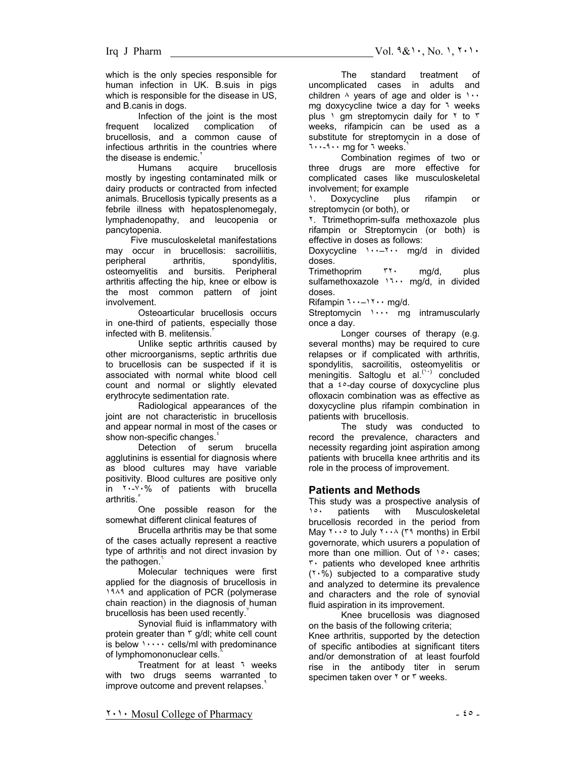which is the only species responsible for human infection in UK. B.suis in pigs which is responsible for the disease in US, and B.canis in dogs.

Infection of the joint is the most frequent localized complication of brucellosis, and a common cause of infectious arthritis in the countries where the disease is endemic.<sup>1</sup><br>Humans aco

acquire brucellosis mostly by ingesting contaminated milk or dairy products or contracted from infected animals. Brucellosis typically presents as a febrile illness with hepatosplenomegaly, lymphadenopathy, and leucopenia or pancytopenia.

 Five musculoskeletal manifestations may occur in brucellosis: sacroiliitis. peripheral arthritis, spondylitis, osteomyelitis and bursitis. Peripheral arthritis affecting the hip, knee or elbow is the most common pattern of joint involvement.

Osteoarticular brucellosis occurs in one-third of patients, especially those infected with B. melitensis.

Unlike septic arthritis caused by other microorganisms, septic arthritis due to brucellosis can be suspected if it is associated with normal white blood cell count and normal or slightly elevated erythrocyte sedimentation rate.

Radiological appearances of the joint are not characteristic in brucellosis and appear normal in most of the cases or show non-specific changes.

Detection of serum brucella agglutinins is essential for diagnosis where as blood cultures may have variable positivity. Blood cultures are positive only in ٢٠-٧٠% of patients with brucella arthritis.<sup>°</sup>

One possible reason for the somewhat different clinical features of

Brucella arthritis may be that some of the cases actually represent a reactive type of arthritis and not direct invasion by the pathogen.

Molecular techniques were first applied for the diagnosis of brucellosis in ١٩٨٩ and application of PCR (polymerase chain reaction) in the diagnosis of human brucellosis has been used recently.

Synovial fluid is inflammatory with protein greater than  $\tau$  g/dl; white cell count is below  $\cdots$  cells/ml with predominance of lymphomononuclear cells.

Treatment for at least ٦ weeks with two drugs seems warranted to improve outcome and prevent relapses.

The standard treatment of uncomplicated cases in adults and children  $\land$  years of age and older is  $\land \cdot \cdot$ mg doxycycline twice a day for ٦ weeks plus 1 gm streptomycin daily for 1 to  $\bar{r}$ weeks, rifampicin can be used as a substitute for streptomycin in a dose of ٦٠٠-٩٠٠ mg for ٦ weeks.<sup>٩</sup>

Combination regimes of two or three drugs are more effective for complicated cases like musculoskeletal involvement; for example

١. Doxycycline plus rifampin or streptomycin (or both), or

٢. Ttrimethoprim-sulfa methoxazole plus rifampin or Streptomycin (or both) is effective in doses as follows:

Doxycycline ١٠٠–٢٠٠ mg/d in divided doses.

Trimethoprim ٣٢٠ mg/d, plus sulfamethoxazole 11. mg/d, in divided doses.

Rifampin ٦٠٠–١٢٠٠ mg/d.

Streptomycin ١٠٠٠ mg intramuscularly once a day.

Longer courses of therapy (e.g. several months) may be required to cure relapses or if complicated with arthritis, spondylitis, sacroilitis, osteomyelitis or meningitis. Saltoglu et al.<sup>(11)</sup> concluded that  $a^{-\xi}$ <sup>o</sup>-day course of doxycycline plus ofloxacin combination was as effective as doxycycline plus rifampin combination in patients with brucellosis.

The study was conducted to record the prevalence, characters and necessity regarding joint aspiration among patients with brucella knee arthritis and its role in the process of improvement.

### **Patients and Methods**

This study was a prospective analysis of  $\frac{10}{10}$  patients with Musculoskeletal patients with Musculoskeletal brucellosis recorded in the period from May ٢٠٠٥ to July ٢٠٠٨ (٣٩ months) in Erbil governorate, which usurers a population of more than one million. Out of  $1° \cdot$  cases; ٣٠ patients who developed knee arthritis (٢٠%) subjected to a comparative study and analyzed to determine its prevalence and characters and the role of synovial fluid aspiration in its improvement.

Knee brucellosis was diagnosed on the basis of the following criteria; Knee arthritis, supported by the detection of specific antibodies at significant titers and/or demonstration of at least fourfold rise in the antibody titer in serum specimen taken over ٢ or ٣ weeks.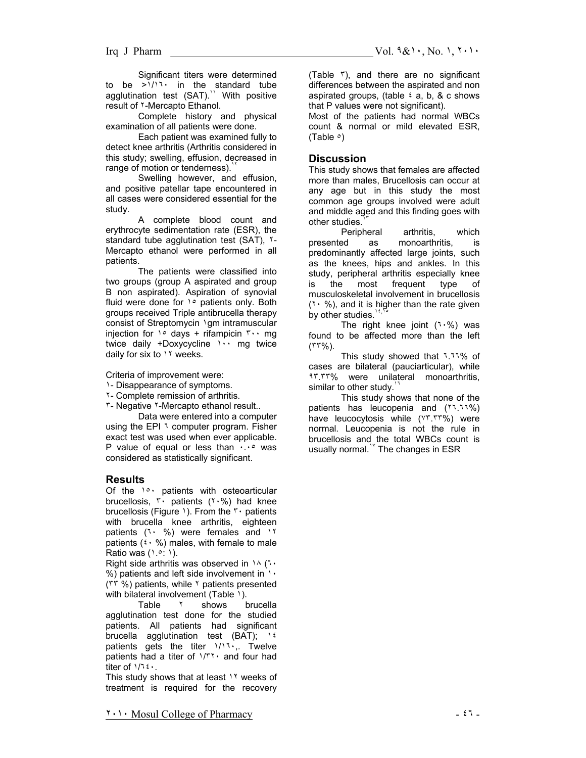Significant titers were determined to be >١/١٦٠ in the standard tube agglutination test  $(SAT)$ .<sup>11</sup> With positive result of ٢-Mercapto Ethanol.

Complete history and physical examination of all patients were done.

Each patient was examined fully to detect knee arthritis (Arthritis considered in this study; swelling, effusion, decreased in range of motion or tenderness).

Swelling however, and effusion, and positive patellar tape encountered in all cases were considered essential for the study.

A complete blood count and erythrocyte sedimentation rate (ESR), the standard tube agglutination test (SAT), ٢-Mercapto ethanol were performed in all patients.

The patients were classified into two groups (group A aspirated and group B non aspirated). Aspiration of synovial fluid were done for 1° patients only. Both groups received Triple antibrucella therapy consist of Streptomycin \gm intramuscular injection for  $\lambda \circ$  days + rifampicin  $\lambda \cdot \mu$  mg twice daily +Doxycycline ١٠٠ mg twice daily for six to ١٢ weeks.

Criteria of improvement were:

- ١- Disappearance of symptoms.
- ٢- Complete remission of arthritis.

٣- Negative ٢-Mercapto ethanol result..

Data were entered into a computer using the EPI 1 computer program. Fisher exact test was used when ever applicable. P value of equal or less than  $\cdots$  was considered as statistically significant.

### **Results**

Of the ١٥٠ patients with osteoarticular brucellosis, ٣٠ patients (٢٠%) had knee brucellosis (Figure 1). From the  $\mathbf{r} \cdot \mathbf{p}$  patients with brucella knee arthritis, eighteen patients (٦٠ %) were females and ١٢ patients  $(2 \cdot \%)$  males, with female to male Ratio was (١.٥: ١).

Right side arthritis was observed in  $14$  (1. %) patients and left side involvement in  $\cdot \cdot$ (٣٣ %) patients, while ٢ patients presented

with bilateral involvement (Table 1).<br>Table  $10^{10}$  shows t brucella agglutination test done for the studied patients. All patients had significant brucella agglutination test (BAT); ١٤ patients gets the titer  $1/11$ , Twelve patients had a titer of  $1/\mathbb{r}$ <sup>1</sup> and four had titer of ١/٦٤٠.

This study shows that at least ١٢ weeks of treatment is required for the recovery (Table ٣), and there are no significant differences between the aspirated and non aspirated groups, (table  $\frac{1}{2}$  a, b, & c shows that P values were not significant).

Most of the patients had normal WBCs count & normal or mild elevated ESR, (Table  $\circ$ )

### **Discussion**

This study shows that females are affected more than males, Brucellosis can occur at any age but in this study the most common age groups involved were adult and middle aged and this finding goes with other studies.

Peripheral arthritis, which presented as monoarthritis, is predominantly affected large joints, such as the knees, hips and ankles. In this study, peripheral arthritis especially knee is the most frequent type of musculoskeletal involvement in brucellosis  $(7 \cdot %),$  and it is higher than the rate given by other studies.<sup>1</sup>

The right knee joint  $(1.0)$  was found to be affected more than the left (٣٣%).

This study showed that ٦.٦٦% of cases are bilateral (pauciarticular), while ٩٣.٣٣% were unilateral monoarthritis, similar to other study.

This study shows that none of the patients has leucopenia and (٢٦.٦٦%) have leucocytosis while (٧٣.٣٣%) were normal. Leucopenia is not the rule in brucellosis and the total WBCs count is usually normal.<sup>18</sup> The changes in ESR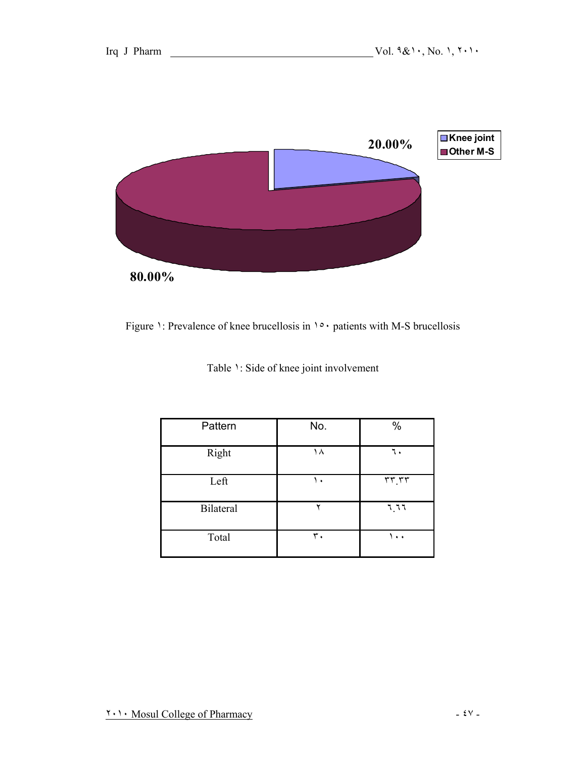

Figure 1: Prevalence of knee brucellosis in  $1° \cdot$  patients with M-S brucellosis

| Pattern   | No. | %                    |
|-----------|-----|----------------------|
| Right     | ۱۸  | ٦.                   |
| Left      | ۱.  | rr,rr                |
| Bilateral | ٧   | 7.77                 |
| Total     | ٣.  | $\ddot{\phantom{1}}$ |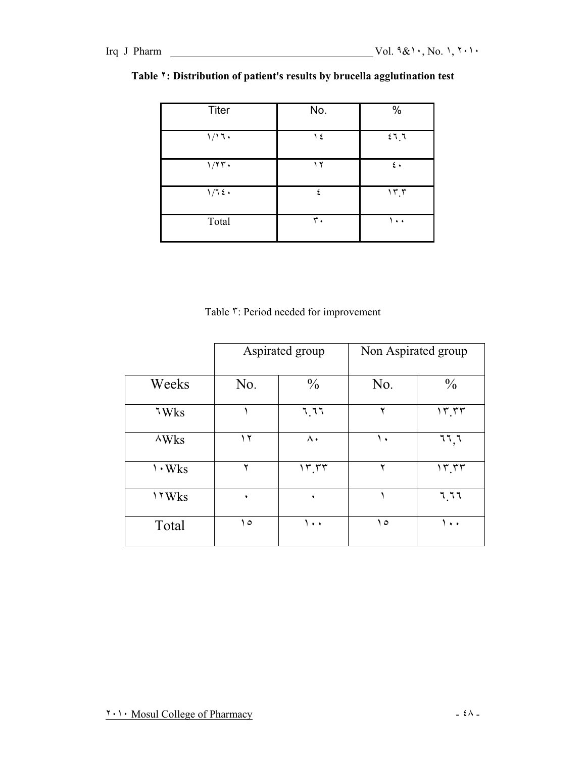| <b>Titer</b>    | No. | %            |
|-----------------|-----|--------------|
| 1/17.           | ع ۱ | 27.7         |
| $1/7T$ .        | ۲ ( | $\epsilon$ . |
| $1/7$ { $\cdot$ | ٤   | 15.5         |
| Total           | ٣.  | ۰۰۱          |

## **Table ٢: Distribution of patient's results by brucella agglutination test**

Table ٣: Period needed for improvement

|                | Aspirated group |               | Non Aspirated group |                     |
|----------------|-----------------|---------------|---------------------|---------------------|
| Weeks          | No.             | $\frac{0}{0}$ | No.                 | $\frac{0}{0}$       |
| 7Wks           |                 | 7.77          | ۲                   | 17.77               |
| $\wedge$ Wks   | ۲ (             | $\wedge\cdot$ | ١.                  | 77,7                |
| $\cdot$ Wks    | ۲               | 15.55         | ۲                   | 17.77               |
| $\forall$ YWks | ٠               | ٠             |                     | 7.77                |
| Total          | ه ۱             | $\cdots$      | ه ۱                 | $\bullet$ $\bullet$ |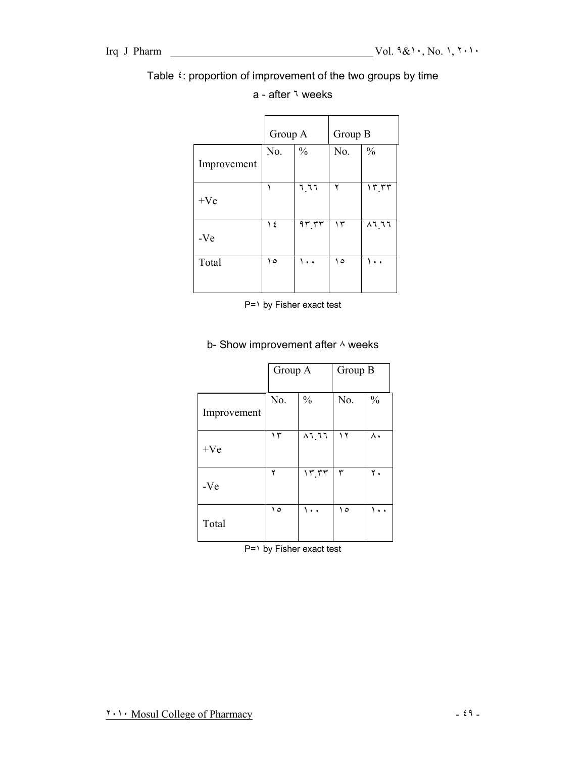## Table ٤: proportion of improvement of the two groups by time

|             | Group A |               | Group B |               |
|-------------|---------|---------------|---------|---------------|
| Improvement | No.     | $\frac{0}{0}$ | No.     | $\frac{0}{0}$ |
| $+Ve$       |         | 7.77          | ۲       | 17.77         |
| $-Ve$       | ع ۱     | 95.55         | ۱۳      | $\lambda$ l l |
| Total       | ه ۱     | ۰.۱           | ه ۱     | ۰.۱           |

## a - after ٦ weeks

P=١ by Fisher exact test

# Group A Group B No.  $\begin{array}{|c|c|c|c|c|} \hline \text{No.} & \frac{9}{6} \\ \hline \end{array}$ Improvement ١٣ ٨٦.٦٦ ١٢ ٨٠  $+Ve$ ٢ ١٣.٣٣ ٣ ٢٠ -Ve ١٥ ١٠٠ ١٥ ١٠٠ Total

## b- Show improvement after  $\land$  weeks

P=١ by Fisher exact test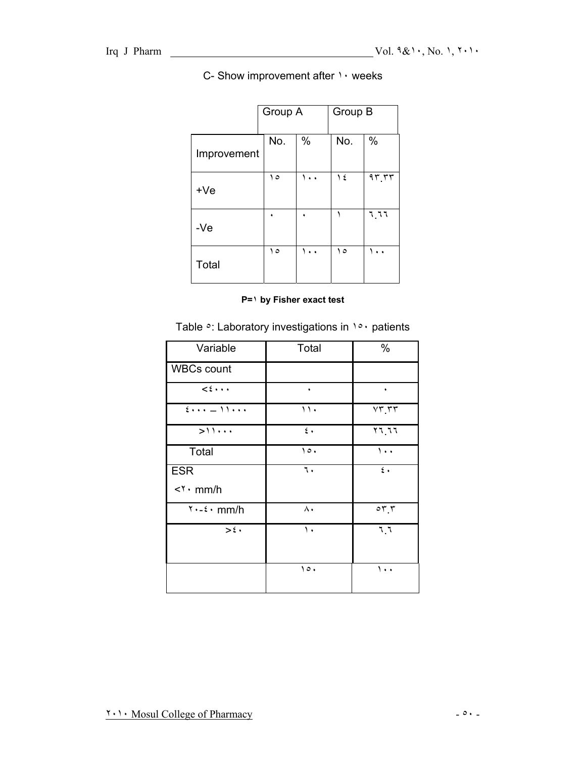## C- Show improvement after  $\cdots$  weeks

|             | Group A |     | Group B |        |
|-------------|---------|-----|---------|--------|
| Improvement | No.     | %   | No.     | %      |
| $+Ve$       | ه ۱     | ۱۰۰ | ۱٤      | 95.57  |
| $-Ve$       |         |     |         | 1. 7 7 |
| Total       | ه ۱     | ۱۰۰ | ه ۱     |        |

#### **P=١ by Fisher exact test**

Table  $\circ$ : Laboratory investigations in  $1 \circ \circ$  patients

| Variable                     | Total          | %                                                           |
|------------------------------|----------------|-------------------------------------------------------------|
| <b>WBCs count</b>            |                |                                                             |
| $\leq \epsilon \cdots$       | $\bullet$      | $\bullet$                                                   |
| $2 - 11$                     | $\mathbf{1}$ . | $VT, \tau\tau$                                              |
| $>$ 11                       | $\epsilon$ .   | $\overline{Y}$ $\overline{Y}$ $\overline{Y}$ $\overline{Y}$ |
| Total                        | $\circ$ .      | $\mathcal{L}$ .                                             |
| <b>ESR</b>                   | ٦.             | $\mathfrak{c}$ .                                            |
| $\langle \cdot \rangle$ mm/h |                |                                                             |
| $Y - \epsilon \cdot mm/h$    | ۸.             | $\circ \tau$ . $\tau$                                       |
| $>\epsilon$ .                | $\mathcal{N}$  | 7.7                                                         |
|                              |                |                                                             |
|                              | $\circ$ .      | $\cdots$                                                    |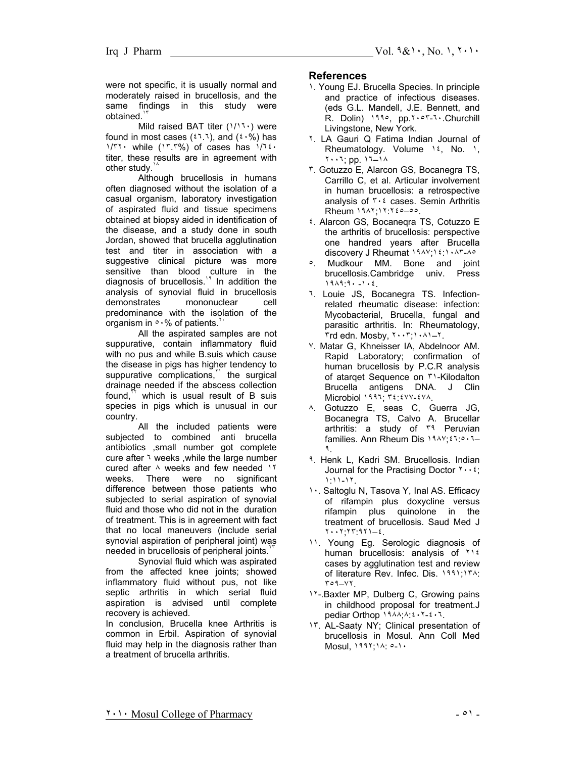were not specific, it is usually normal and moderately raised in brucellosis, and the same findings in this study were obtained.

Mild raised BAT titer (١/١٦٠) were found in most cases  $({}^{t\,7.7})$ , and  $({}^{t\,7.9})$  has ١/٣٢٠ while (١٣.٣%) of cases has ١/٦٤٠ titer, these results are in agreement with other study.

Although brucellosis in humans often diagnosed without the isolation of a casual organism, laboratory investigation of aspirated fluid and tissue specimens obtained at biopsy aided in identification of the disease, and a study done in south Jordan, showed that brucella agglutination test and titer in association with a suggestive clinical picture was more sensitive than blood culture in the diagnosis of brucellosis.<sup>14</sup> In addition the analysis of synovial fluid in brucellosis demonstrates mononuclear cell predominance with the isolation of the organism in  $\circ \cdot \%$  of patients.

All the aspirated samples are not suppurative, contain inflammatory fluid with no pus and while B.suis which cause the disease in pigs has higher tendency to suppurative complications,<sup>11</sup> the surgical drainage needed if the abscess collection found, $\mathbf{v}$  which is usual result of B suis species in pigs which is unusual in our country.

All the included patients were subjected to combined anti brucella antibiotics ,small number got complete cure after ٦ weeks ,while the large number cured after ٨ weeks and few needed ١٢ weeks. There were no significant difference between those patients who subjected to serial aspiration of synovial fluid and those who did not in the duration of treatment. This is in agreement with fact that no local maneuvers (include serial synovial aspiration of peripheral joint) was needed in brucellosis of peripheral joints.<sup>7</sup>

Synovial fluid which was aspirated from the affected knee joints; showed inflammatory fluid without pus, not like septic arthritis in which serial fluid aspiration is advised until complete recovery is achieved.

In conclusion, Brucella knee Arthritis is common in Erbil. Aspiration of synovial fluid may help in the diagnosis rather than a treatment of brucella arthritis.

#### **References**

- 1. Young EJ. Brucella Species. In principle and practice of infectious diseases. (eds G.L. Mandell, J.E. Bennett, and R. Dolin) ١٩٩٥, pp.٢٠٥٣-٦٠.Churchill Livingstone, New York.
- ٢. LA Gauri Q Fatima Indian Journal of Rheumatology. Volume ١٤, No. ١, ٢٠٠٦; pp. ١٦–١٨
- ٣. Gotuzzo E, Alarcon GS, Bocanegra TS, Carrillo C, et al. Articular involvement in human brucellosis: a retrospective analysis of ٣٠٤ cases. Semin Arthritis Rheum ١٩٨٢;١٢:٢٤٥–٥٥.
- ٤. Alarcon GS, Bocaneqra TS, Cotuzzo E the arthritis of brucellosis: perspective one handred years after Brucella discovery J Rheumat ١٩٨٧;١٤:١٠٨٣-٨٥
- ٥. Mudkour MM. Bone and joint brucellosis.Cambridge univ. Press ١٩٨٩:٩٠ -١٠٤.
- ٦. Louie JS, Bocanegra TS. Infectionrelated rheumatic disease: infection: Mycobacterial, Brucella, fungal and parasitic arthritis. In: Rheumatology,  $\mathsf{r}$ rd edn. Mosby,  $\mathsf{r} \cdot \mathsf{r}$ ;  $\mathsf{r} \cdot \mathsf{r}$ .
- ٧. Matar G, Khneisser IA, Abdelnoor AM. Rapid Laboratory; confirmation of human brucellosis by P.C.R analysis of atarqet Sequence on ٣١-Kilodalton Brucella antigens DNA. J Clin Microbiol ١٩٩٦; ٣٤:٤٧٧-٤٧٨.
- ٨. Gotuzzo E, seas C, Guerra JG, Bocanegra TS, Calvo A. Brucellar arthritis: a study of **٣٩** Peruvian families. Ann Rheum Dis ١٩٨٧;٤٦:٥٠٦– ٩.
- ٩. Henk L, Kadri SM. Brucellosis. Indian Journal for the Practising Doctor ٢٠٠٤; ١:١١-١٢.
- ١٠. Saltoglu N, Tasova Y, Inal AS. Efficacy of rifampin plus doxycline versus rifampin plus quinolone in the treatment of brucellosis. Saud Med J ٢٠٠٢;٢٣:٩٢١–٤.
- ١١. Young Eg. Serologic diagnosis of human brucellosis: analysis of ٢١٤ cases by agglutination test and review of literature Rev. Infec. Dis. ١٩٩١;١٣٨: ٣٥٩–٧٢.
- 11-. Baxter MP, Dulberg C, Growing pains in childhood proposal for treatment.J pediar Orthop ١٩٨٨;٨:٤٠٢-٤٠٦.
- ١٣. AL-Saaty NY; Clinical presentation of brucellosis in Mosul. Ann Coll Med Mosul, ١٩٩٢;١٨: ٥-١٠